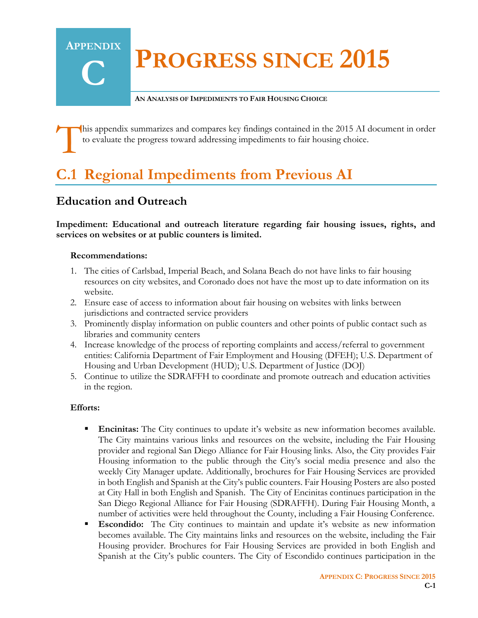# **PROGRESS SINCE 2015**

#### **AN ANALYSIS OF IMPEDIMENTS TO FAIR HOUSING CHOICE**

his appendix summarizes and compares key findings contained in the 2015 AI document in order to evaluate the progress toward addressing impediments to fair housing choice. T

# **C.1 Regional Impediments from Previous AI**

## **Education and Outreach**

**Impediment: Educational and outreach literature regarding fair housing issues, rights, and services on websites or at public counters is limited.** 

#### **Recommendations:**

**APPENDIX**

**C**

- 1. The cities of Carlsbad, Imperial Beach, and Solana Beach do not have links to fair housing resources on city websites, and Coronado does not have the most up to date information on its website.
- 2. Ensure ease of access to information about fair housing on websites with links between jurisdictions and contracted service providers
- 3. Prominently display information on public counters and other points of public contact such as libraries and community centers
- 4. Increase knowledge of the process of reporting complaints and access/referral to government entities: California Department of Fair Employment and Housing (DFEH); U.S. Department of Housing and Urban Development (HUD); U.S. Department of Justice (DOJ)
- 5. Continue to utilize the SDRAFFH to coordinate and promote outreach and education activities in the region.

- **Encinitas:** The City continues to update it's website as new information becomes available. The City maintains various links and resources on the website, including the Fair Housing provider and regional San Diego Alliance for Fair Housing links. Also, the City provides Fair Housing information to the public through the City's social media presence and also the weekly City Manager update. Additionally, brochures for Fair Housing Services are provided in both English and Spanish at the City's public counters. Fair Housing Posters are also posted at City Hall in both English and Spanish. The City of Encinitas continues participation in the San Diego Regional Alliance for Fair Housing (SDRAFFH). During Fair Housing Month, a number of activities were held throughout the County, including a Fair Housing Conference.
- **Escondido:** The City continues to maintain and update it's website as new information becomes available. The City maintains links and resources on the website, including the Fair Housing provider. Brochures for Fair Housing Services are provided in both English and Spanish at the City's public counters. The City of Escondido continues participation in the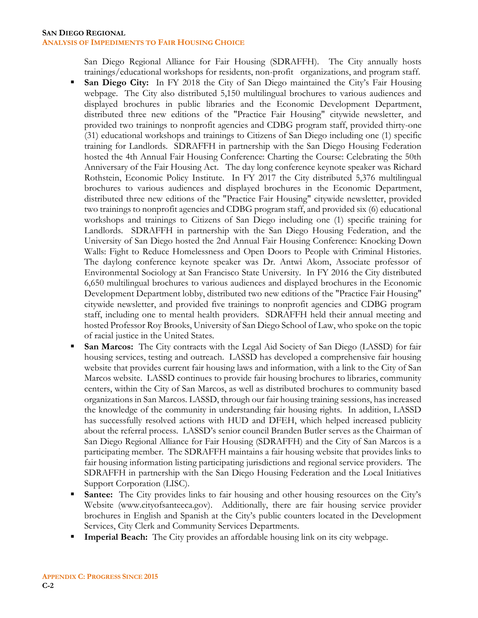#### **SAN DIEGO REGIONAL ANALYSIS OF IMPEDIMENTS TO FAIR HOUSING CHOICE**

San Diego Regional Alliance for Fair Housing (SDRAFFH). The City annually hosts trainings/educational workshops for residents, non-profit organizations, and program staff.

- **San Diego City:** In FY 2018 the City of San Diego maintained the City's Fair Housing webpage. The City also distributed 5,150 multilingual brochures to various audiences and displayed brochures in public libraries and the Economic Development Department, distributed three new editions of the "Practice Fair Housing" citywide newsletter, and provided two trainings to nonprofit agencies and CDBG program staff, provided thirty-one (31) educational workshops and trainings to Citizens of San Diego including one (1) specific training for Landlords. SDRAFFH in partnership with the San Diego Housing Federation hosted the 4th Annual Fair Housing Conference: Charting the Course: Celebrating the 50th Anniversary of the Fair Housing Act. The day long conference keynote speaker was Richard Rothstein, Economic Policy Institute. In FY 2017 the City distributed 5,376 multilingual brochures to various audiences and displayed brochures in the Economic Department, distributed three new editions of the "Practice Fair Housing" citywide newsletter, provided two trainings to nonprofit agencies and CDBG program staff, and provided six (6) educational workshops and trainings to Citizens of San Diego including one (1) specific training for Landlords. SDRAFFH in partnership with the San Diego Housing Federation, and the University of San Diego hosted the 2nd Annual Fair Housing Conference: Knocking Down Walls: Fight to Reduce Homelessness and Open Doors to People with Criminal Histories. The daylong conference keynote speaker was Dr. Antwi Akom, Associate professor of Environmental Sociology at San Francisco State University. In FY 2016 the City distributed 6,650 multilingual brochures to various audiences and displayed brochures in the Economic Development Department lobby, distributed two new editions of the "Practice Fair Housing" citywide newsletter, and provided five trainings to nonprofit agencies and CDBG program staff, including one to mental health providers. SDRAFFH held their annual meeting and hosted Professor Roy Brooks, University of San Diego School of Law, who spoke on the topic of racial justice in the United States.
- **San Marcos:** The City contracts with the Legal Aid Society of San Diego (LASSD) for fair housing services, testing and outreach. LASSD has developed a comprehensive fair housing website that provides current fair housing laws and information, with a link to the City of San Marcos website. LASSD continues to provide fair housing brochures to libraries, community centers, within the City of San Marcos, as well as distributed brochures to community based organizations in San Marcos. LASSD, through our fair housing training sessions, has increased the knowledge of the community in understanding fair housing rights. In addition, LASSD has successfully resolved actions with HUD and DFEH, which helped increased publicity about the referral process. LASSD's senior council Branden Butler serves as the Chairman of San Diego Regional Alliance for Fair Housing (SDRAFFH) and the City of San Marcos is a participating member. The SDRAFFH maintains a fair housing website that provides links to fair housing information listing participating jurisdictions and regional service providers. The SDRAFFH in partnership with the San Diego Housing Federation and the Local Initiatives Support Corporation (LISC).
- **Santee:** The City provides links to fair housing and other housing resources on the City's Website (www.cityofsanteeca.gov). Additionally, there are fair housing service provider brochures in English and Spanish at the City's public counters located in the Development Services, City Clerk and Community Services Departments.
- **Imperial Beach:** The City provides an affordable housing link on its city webpage.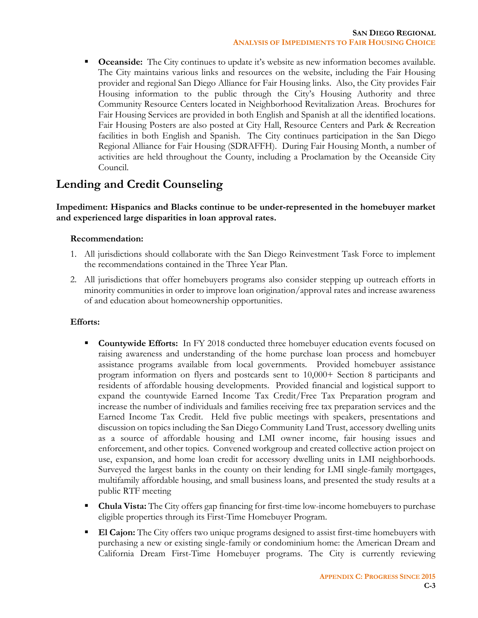**Coceanside:** The City continues to update it's website as new information becomes available. The City maintains various links and resources on the website, including the Fair Housing provider and regional San Diego Alliance for Fair Housing links. Also, the City provides Fair Housing information to the public through the City's Housing Authority and three Community Resource Centers located in Neighborhood Revitalization Areas. Brochures for Fair Housing Services are provided in both English and Spanish at all the identified locations. Fair Housing Posters are also posted at City Hall, Resource Centers and Park & Recreation facilities in both English and Spanish. The City continues participation in the San Diego Regional Alliance for Fair Housing (SDRAFFH). During Fair Housing Month, a number of activities are held throughout the County, including a Proclamation by the Oceanside City Council.

## **Lending and Credit Counseling**

**Impediment: Hispanics and Blacks continue to be under-represented in the homebuyer market and experienced large disparities in loan approval rates.**

#### **Recommendation:**

- 1. All jurisdictions should collaborate with the San Diego Reinvestment Task Force to implement the recommendations contained in the Three Year Plan.
- 2. All jurisdictions that offer homebuyers programs also consider stepping up outreach efforts in minority communities in order to improve loan origination/approval rates and increase awareness of and education about homeownership opportunities.

- **Countywide Efforts:** In FY 2018 conducted three homebuyer education events focused on raising awareness and understanding of the home purchase loan process and homebuyer assistance programs available from local governments. Provided homebuyer assistance program information on flyers and postcards sent to 10,000+ Section 8 participants and residents of affordable housing developments. Provided financial and logistical support to expand the countywide Earned Income Tax Credit/Free Tax Preparation program and increase the number of individuals and families receiving free tax preparation services and the Earned Income Tax Credit. Held five public meetings with speakers, presentations and discussion on topics including the San Diego Community Land Trust, accessory dwelling units as a source of affordable housing and LMI owner income, fair housing issues and enforcement, and other topics. Convened workgroup and created collective action project on use, expansion, and home loan credit for accessory dwelling units in LMI neighborhoods. Surveyed the largest banks in the county on their lending for LMI single-family mortgages, multifamily affordable housing, and small business loans, and presented the study results at a public RTF meeting
- **Chula Vista:** The City offers gap financing for first-time low-income homebuyers to purchase eligible properties through its First-Time Homebuyer Program.
- **El Cajon:** The City offers two unique programs designed to assist first-time homebuyers with purchasing a new or existing single-family or condominium home: the American Dream and California Dream First-Time Homebuyer programs. The City is currently reviewing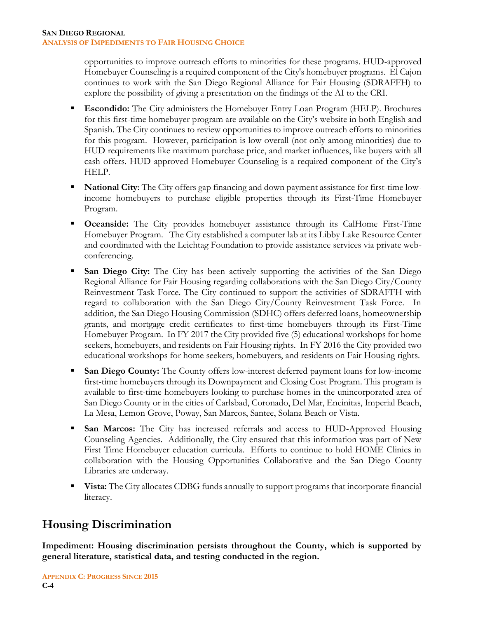opportunities to improve outreach efforts to minorities for these programs. HUD-approved Homebuyer Counseling is a required component of the City's homebuyer programs. El Cajon continues to work with the San Diego Regional Alliance for Fair Housing (SDRAFFH) to explore the possibility of giving a presentation on the findings of the AI to the CRI.

- **Escondido:** The City administers the Homebuyer Entry Loan Program (HELP). Brochures for this first-time homebuyer program are available on the City's website in both English and Spanish. The City continues to review opportunities to improve outreach efforts to minorities for this program. However, participation is low overall (not only among minorities) due to HUD requirements like maximum purchase price, and market influences, like buyers with all cash offers. HUD approved Homebuyer Counseling is a required component of the City's HELP.
- **National City**: The City offers gap financing and down payment assistance for first-time lowincome homebuyers to purchase eligible properties through its First-Time Homebuyer Program.
- **Oceanside:** The City provides homebuyer assistance through its CalHome First-Time Homebuyer Program. The City established a computer lab at its Libby Lake Resource Center and coordinated with the Leichtag Foundation to provide assistance services via private webconferencing.
- **San Diego City:** The City has been actively supporting the activities of the San Diego Regional Alliance for Fair Housing regarding collaborations with the San Diego City/County Reinvestment Task Force. The City continued to support the activities of SDRAFFH with regard to collaboration with the San Diego City/County Reinvestment Task Force. In addition, the San Diego Housing Commission (SDHC) offers deferred loans, homeownership grants, and mortgage credit certificates to first-time homebuyers through its First-Time Homebuyer Program. In FY 2017 the City provided five (5) educational workshops for home seekers, homebuyers, and residents on Fair Housing rights. In FY 2016 the City provided two educational workshops for home seekers, homebuyers, and residents on Fair Housing rights.
- **San Diego County:** The County offers low-interest deferred payment loans for low-income first-time homebuyers through its Downpayment and Closing Cost Program. This program is available to first-time homebuyers looking to purchase homes in the unincorporated area of San Diego County or in the cities of Carlsbad, Coronado, Del Mar, Encinitas, Imperial Beach, La Mesa, Lemon Grove, Poway, San Marcos, Santee, Solana Beach or Vista.
- **San Marcos:** The City has increased referrals and access to HUD-Approved Housing Counseling Agencies. Additionally, the City ensured that this information was part of New First Time Homebuyer education curricula. Efforts to continue to hold HOME Clinics in collaboration with the Housing Opportunities Collaborative and the San Diego County Libraries are underway.
- **Vista:** The City allocates CDBG funds annually to support programs that incorporate financial literacy.

## **Housing Discrimination**

**Impediment: Housing discrimination persists throughout the County, which is supported by general literature, statistical data, and testing conducted in the region.**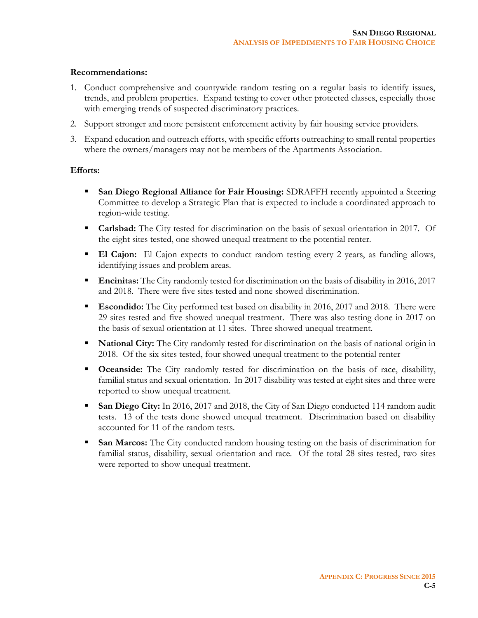#### **Recommendations:**

- 1. Conduct comprehensive and countywide random testing on a regular basis to identify issues, trends, and problem properties. Expand testing to cover other protected classes, especially those with emerging trends of suspected discriminatory practices.
- 2. Support stronger and more persistent enforcement activity by fair housing service providers.
- 3. Expand education and outreach efforts, with specific efforts outreaching to small rental properties where the owners/managers may not be members of the Apartments Association.

- **San Diego Regional Alliance for Fair Housing:** SDRAFFH recently appointed a Steering Committee to develop a Strategic Plan that is expected to include a coordinated approach to region-wide testing.
- **Carlsbad:** The City tested for discrimination on the basis of sexual orientation in 2017. Of the eight sites tested, one showed unequal treatment to the potential renter.
- **El Cajon:** El Cajon expects to conduct random testing every 2 years, as funding allows, identifying issues and problem areas.
- **Encinitas:** The City randomly tested for discrimination on the basis of disability in 2016, 2017 and 2018. There were five sites tested and none showed discrimination.
- **Escondido:** The City performed test based on disability in 2016, 2017 and 2018. There were 29 sites tested and five showed unequal treatment. There was also testing done in 2017 on the basis of sexual orientation at 11 sites. Three showed unequal treatment.
- **National City:** The City randomly tested for discrimination on the basis of national origin in 2018. Of the six sites tested, four showed unequal treatment to the potential renter
- **Oceanside:** The City randomly tested for discrimination on the basis of race, disability, familial status and sexual orientation. In 2017 disability was tested at eight sites and three were reported to show unequal treatment.
- **San Diego City:** In 2016, 2017 and 2018, the City of San Diego conducted 114 random audit tests. 13 of the tests done showed unequal treatment. Discrimination based on disability accounted for 11 of the random tests.
- **San Marcos:** The City conducted random housing testing on the basis of discrimination for familial status, disability, sexual orientation and race. Of the total 28 sites tested, two sites were reported to show unequal treatment.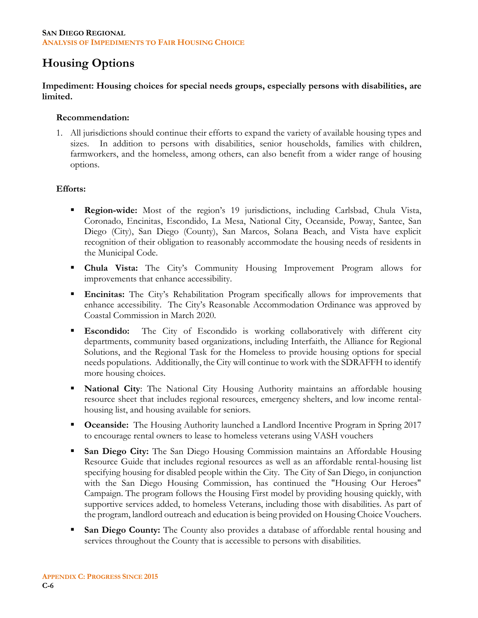#### **SAN DIEGO REGIONAL ANALYSIS OF IMPEDIMENTS TO FAIR HOUSING CHOICE**

## **Housing Options**

**Impediment: Housing choices for special needs groups, especially persons with disabilities, are limited.**

#### **Recommendation:**

1. All jurisdictions should continue their efforts to expand the variety of available housing types and sizes. In addition to persons with disabilities, senior households, families with children, farmworkers, and the homeless, among others, can also benefit from a wider range of housing options.

- **Region-wide:** Most of the region's 19 jurisdictions, including Carlsbad, Chula Vista, Coronado, Encinitas, Escondido, La Mesa, National City, Oceanside, Poway, Santee, San Diego (City), San Diego (County), San Marcos, Solana Beach, and Vista have explicit recognition of their obligation to reasonably accommodate the housing needs of residents in the Municipal Code.
- **Chula Vista:** The City's Community Housing Improvement Program allows for improvements that enhance accessibility.
- **Encinitas:** The City's Rehabilitation Program specifically allows for improvements that enhance accessibility. The City's Reasonable Accommodation Ordinance was approved by Coastal Commission in March 2020.
- **Escondido:** The City of Escondido is working collaboratively with different city departments, community based organizations, including Interfaith, the Alliance for Regional Solutions, and the Regional Task for the Homeless to provide housing options for special needs populations. Additionally, the City will continue to work with the SDRAFFH to identify more housing choices.
- **National City:** The National City Housing Authority maintains an affordable housing resource sheet that includes regional resources, emergency shelters, and low income rentalhousing list, and housing available for seniors.
- **Cocanside:** The Housing Authority launched a Landlord Incentive Program in Spring 2017 to encourage rental owners to lease to homeless veterans using VASH vouchers
- **San Diego City:** The San Diego Housing Commission maintains an Affordable Housing Resource Guide that includes regional resources as well as an affordable rental-housing list specifying housing for disabled people within the City. The City of San Diego, in conjunction with the San Diego Housing Commission, has continued the "Housing Our Heroes" Campaign. The program follows the Housing First model by providing housing quickly, with supportive services added, to homeless Veterans, including those with disabilities. As part of the program, landlord outreach and education is being provided on Housing Choice Vouchers.
- **San Diego County:** The County also provides a database of affordable rental housing and services throughout the County that is accessible to persons with disabilities.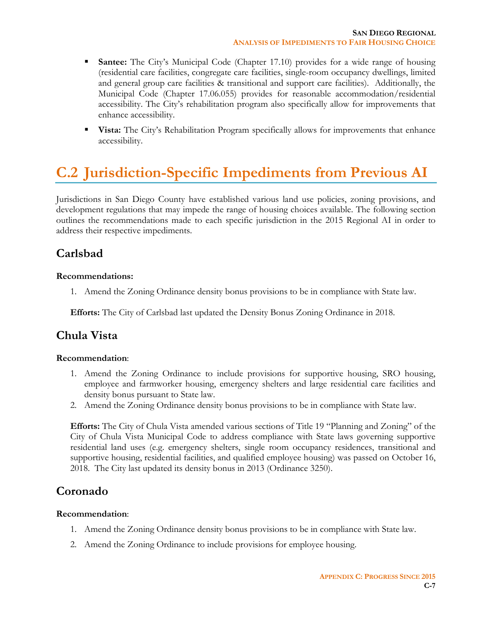- **Santee:** The City's Municipal Code (Chapter 17.10) provides for a wide range of housing (residential care facilities, congregate care facilities, single-room occupancy dwellings, limited and general group care facilities & transitional and support care facilities). Additionally, the Municipal Code (Chapter 17.06.055) provides for reasonable accommodation/residential accessibility. The City's rehabilitation program also specifically allow for improvements that enhance accessibility.
- **Vista:** The City's Rehabilitation Program specifically allows for improvements that enhance accessibility.

# **C.2 Jurisdiction-Specific Impediments from Previous AI**

Jurisdictions in San Diego County have established various land use policies, zoning provisions, and development regulations that may impede the range of housing choices available. The following section outlines the recommendations made to each specific jurisdiction in the 2015 Regional AI in order to address their respective impediments.

## **Carlsbad**

#### **Recommendations:**

1. Amend the Zoning Ordinance density bonus provisions to be in compliance with State law.

**Efforts:** The City of Carlsbad last updated the Density Bonus Zoning Ordinance in 2018.

## **Chula Vista**

#### **Recommendation**:

- 1. Amend the Zoning Ordinance to include provisions for supportive housing, SRO housing, employee and farmworker housing, emergency shelters and large residential care facilities and density bonus pursuant to State law.
- 2. Amend the Zoning Ordinance density bonus provisions to be in compliance with State law.

**Efforts:** The City of Chula Vista amended various sections of Title 19 "Planning and Zoning" of the City of Chula Vista Municipal Code to address compliance with State laws governing supportive residential land uses (e.g. emergency shelters, single room occupancy residences, transitional and supportive housing, residential facilities, and qualified employee housing) was passed on October 16, 2018. The City last updated its density bonus in 2013 (Ordinance 3250).

## **Coronado**

#### **Recommendation**:

- 1. Amend the Zoning Ordinance density bonus provisions to be in compliance with State law.
- 2. Amend the Zoning Ordinance to include provisions for employee housing.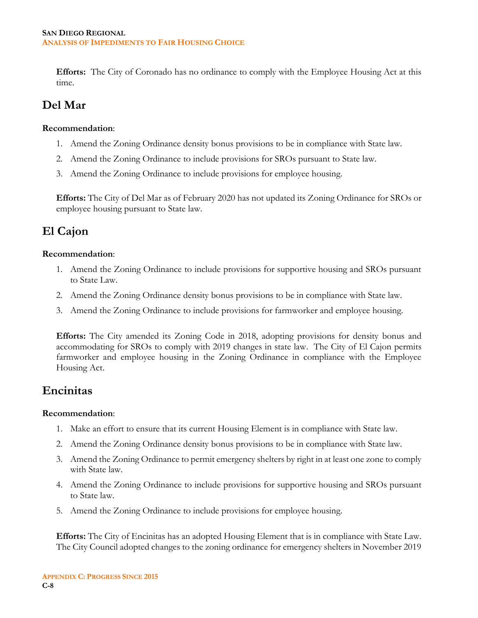**Efforts:** The City of Coronado has no ordinance to comply with the Employee Housing Act at this time.

## **Del Mar**

#### **Recommendation**:

- 1. Amend the Zoning Ordinance density bonus provisions to be in compliance with State law.
- 2. Amend the Zoning Ordinance to include provisions for SROs pursuant to State law.
- 3. Amend the Zoning Ordinance to include provisions for employee housing.

**Efforts:** The City of Del Mar as of February 2020 has not updated its Zoning Ordinance for SROs or employee housing pursuant to State law.

## **El Cajon**

#### **Recommendation**:

- 1. Amend the Zoning Ordinance to include provisions for supportive housing and SROs pursuant to State Law.
- 2. Amend the Zoning Ordinance density bonus provisions to be in compliance with State law.
- 3. Amend the Zoning Ordinance to include provisions for farmworker and employee housing.

**Efforts:** The City amended its Zoning Code in 2018, adopting provisions for density bonus and accommodating for SROs to comply with 2019 changes in state law. The City of El Cajon permits farmworker and employee housing in the Zoning Ordinance in compliance with the Employee Housing Act.

## **Encinitas**

#### **Recommendation**:

- 1. Make an effort to ensure that its current Housing Element is in compliance with State law.
- 2. Amend the Zoning Ordinance density bonus provisions to be in compliance with State law.
- 3. Amend the Zoning Ordinance to permit emergency shelters by right in at least one zone to comply with State law.
- 4. Amend the Zoning Ordinance to include provisions for supportive housing and SROs pursuant to State law.
- 5. Amend the Zoning Ordinance to include provisions for employee housing.

**Efforts:** The City of Encinitas has an adopted Housing Element that is in compliance with State Law. The City Council adopted changes to the zoning ordinance for emergency shelters in November 2019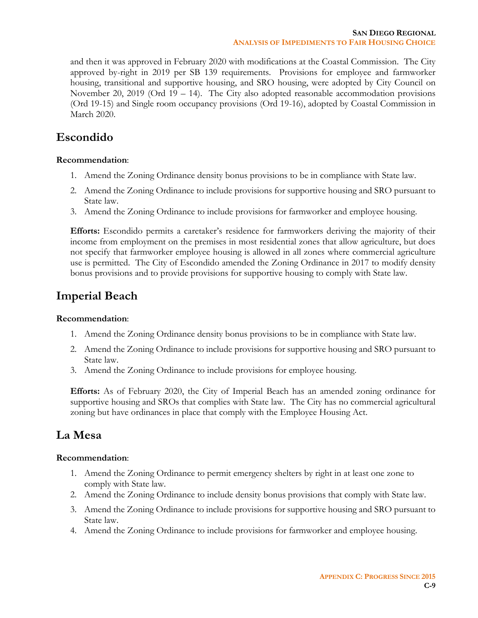and then it was approved in February 2020 with modifications at the Coastal Commission. The City approved by-right in 2019 per SB 139 requirements. Provisions for employee and farmworker housing, transitional and supportive housing, and SRO housing, were adopted by City Council on November 20, 2019 (Ord 19 – 14). The City also adopted reasonable accommodation provisions (Ord 19-15) and Single room occupancy provisions (Ord 19-16), adopted by Coastal Commission in March 2020.

## **Escondido**

#### **Recommendation**:

- 1. Amend the Zoning Ordinance density bonus provisions to be in compliance with State law.
- 2. Amend the Zoning Ordinance to include provisions for supportive housing and SRO pursuant to State law.
- 3. Amend the Zoning Ordinance to include provisions for farmworker and employee housing.

**Efforts:** Escondido permits a caretaker's residence for farmworkers deriving the majority of their income from employment on the premises in most residential zones that allow agriculture, but does not specify that farmworker employee housing is allowed in all zones where commercial agriculture use is permitted. The City of Escondido amended the Zoning Ordinance in 2017 to modify density bonus provisions and to provide provisions for supportive housing to comply with State law.

## **Imperial Beach**

#### **Recommendation**:

- 1. Amend the Zoning Ordinance density bonus provisions to be in compliance with State law.
- 2. Amend the Zoning Ordinance to include provisions for supportive housing and SRO pursuant to State law.
- 3. Amend the Zoning Ordinance to include provisions for employee housing.

**Efforts:** As of February 2020, the City of Imperial Beach has an amended zoning ordinance for supportive housing and SROs that complies with State law. The City has no commercial agricultural zoning but have ordinances in place that comply with the Employee Housing Act.

## **La Mesa**

#### **Recommendation**:

- 1. Amend the Zoning Ordinance to permit emergency shelters by right in at least one zone to comply with State law.
- 2. Amend the Zoning Ordinance to include density bonus provisions that comply with State law.
- 3. Amend the Zoning Ordinance to include provisions for supportive housing and SRO pursuant to State law.
- 4. Amend the Zoning Ordinance to include provisions for farmworker and employee housing.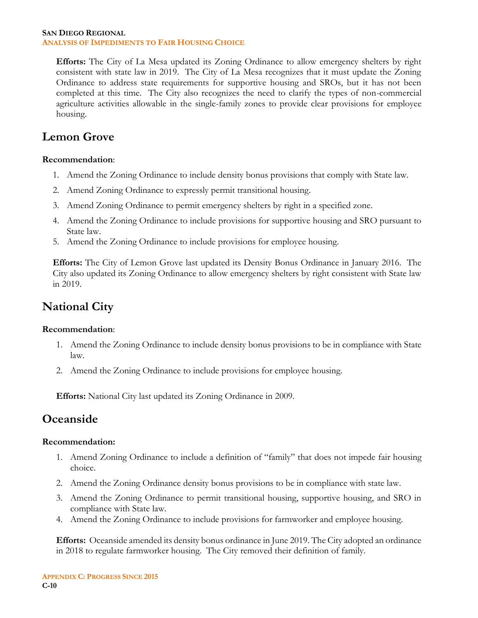#### **SAN DIEGO REGIONAL ANALYSIS OF IMPEDIMENTS TO FAIR HOUSING CHOICE**

**Efforts:** The City of La Mesa updated its Zoning Ordinance to allow emergency shelters by right consistent with state law in 2019. The City of La Mesa recognizes that it must update the Zoning Ordinance to address state requirements for supportive housing and SROs, but it has not been completed at this time. The City also recognizes the need to clarify the types of non-commercial agriculture activities allowable in the single-family zones to provide clear provisions for employee housing.

## **Lemon Grove**

#### **Recommendation**:

- 1. Amend the Zoning Ordinance to include density bonus provisions that comply with State law.
- 2. Amend Zoning Ordinance to expressly permit transitional housing.
- 3. Amend Zoning Ordinance to permit emergency shelters by right in a specified zone.
- 4. Amend the Zoning Ordinance to include provisions for supportive housing and SRO pursuant to State law.
- 5. Amend the Zoning Ordinance to include provisions for employee housing.

**Efforts:** The City of Lemon Grove last updated its Density Bonus Ordinance in January 2016. The City also updated its Zoning Ordinance to allow emergency shelters by right consistent with State law in 2019.

## **National City**

#### **Recommendation**:

- 1. Amend the Zoning Ordinance to include density bonus provisions to be in compliance with State law.
- 2. Amend the Zoning Ordinance to include provisions for employee housing.

**Efforts:** National City last updated its Zoning Ordinance in 2009.

## **Oceanside**

#### **Recommendation:**

- 1. Amend Zoning Ordinance to include a definition of "family" that does not impede fair housing choice.
- 2. Amend the Zoning Ordinance density bonus provisions to be in compliance with state law.
- 3. Amend the Zoning Ordinance to permit transitional housing, supportive housing, and SRO in compliance with State law.
- 4. Amend the Zoning Ordinance to include provisions for farmworker and employee housing.

**Efforts:** Oceanside amended its density bonus ordinance in June 2019. The City adopted an ordinance in 2018 to regulate farmworker housing. The City removed their definition of family.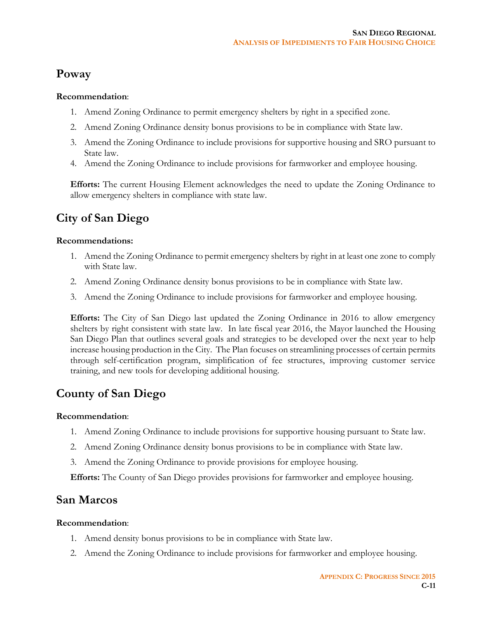## **Poway**

#### **Recommendation**:

- 1. Amend Zoning Ordinance to permit emergency shelters by right in a specified zone.
- 2. Amend Zoning Ordinance density bonus provisions to be in compliance with State law.
- 3. Amend the Zoning Ordinance to include provisions for supportive housing and SRO pursuant to State law.
- 4. Amend the Zoning Ordinance to include provisions for farmworker and employee housing.

**Efforts:** The current Housing Element acknowledges the need to update the Zoning Ordinance to allow emergency shelters in compliance with state law.

## **City of San Diego**

#### **Recommendations:**

- 1. Amend the Zoning Ordinance to permit emergency shelters by right in at least one zone to comply with State law.
- 2. Amend Zoning Ordinance density bonus provisions to be in compliance with State law.
- 3. Amend the Zoning Ordinance to include provisions for farmworker and employee housing.

**Efforts:** The City of San Diego last updated the Zoning Ordinance in 2016 to allow emergency shelters by right consistent with state law. In late fiscal year 2016, the Mayor launched the Housing San Diego Plan that outlines several goals and strategies to be developed over the next year to help increase housing production in the City. The Plan focuses on streamlining processes of certain permits through self-certification program, simplification of fee structures, improving customer service training, and new tools for developing additional housing.

## **County of San Diego**

#### **Recommendation**:

- 1. Amend Zoning Ordinance to include provisions for supportive housing pursuant to State law.
- 2. Amend Zoning Ordinance density bonus provisions to be in compliance with State law.
- 3. Amend the Zoning Ordinance to provide provisions for employee housing.

**Efforts:** The County of San Diego provides provisions for farmworker and employee housing.

## **San Marcos**

#### **Recommendation**:

- 1. Amend density bonus provisions to be in compliance with State law.
- 2. Amend the Zoning Ordinance to include provisions for farmworker and employee housing.